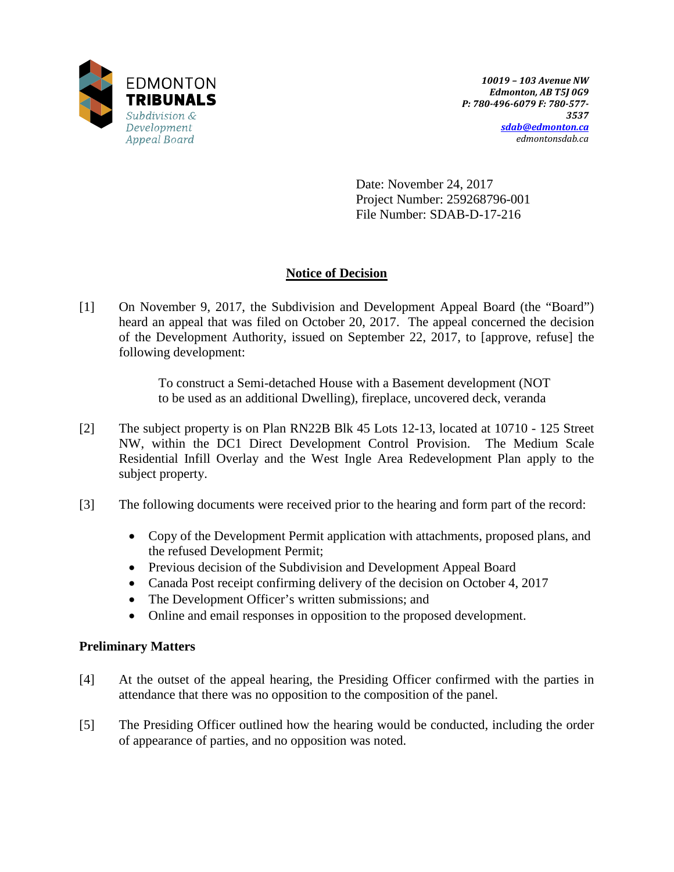

Date: November 24, 2017 Project Number: 259268796-001 File Number: SDAB-D-17-216

# **Notice of Decision**

[1] On November 9, 2017, the Subdivision and Development Appeal Board (the "Board") heard an appeal that was filed on October 20, 2017. The appeal concerned the decision of the Development Authority, issued on September 22, 2017, to [approve, refuse] the following development:

> To construct a Semi-detached House with a Basement development (NOT to be used as an additional Dwelling), fireplace, uncovered deck, veranda

- [2] The subject property is on Plan RN22B Blk 45 Lots 12-13, located at 10710 125 Street NW, within the DC1 Direct Development Control Provision. The Medium Scale Residential Infill Overlay and the West Ingle Area Redevelopment Plan apply to the subject property.
- [3] The following documents were received prior to the hearing and form part of the record:
	- Copy of the Development Permit application with attachments, proposed plans, and the refused Development Permit;
	- Previous decision of the Subdivision and Development Appeal Board
	- Canada Post receipt confirming delivery of the decision on October 4, 2017
	- The Development Officer's written submissions; and
	- Online and email responses in opposition to the proposed development.

## **Preliminary Matters**

- [4] At the outset of the appeal hearing, the Presiding Officer confirmed with the parties in attendance that there was no opposition to the composition of the panel.
- [5] The Presiding Officer outlined how the hearing would be conducted, including the order of appearance of parties, and no opposition was noted.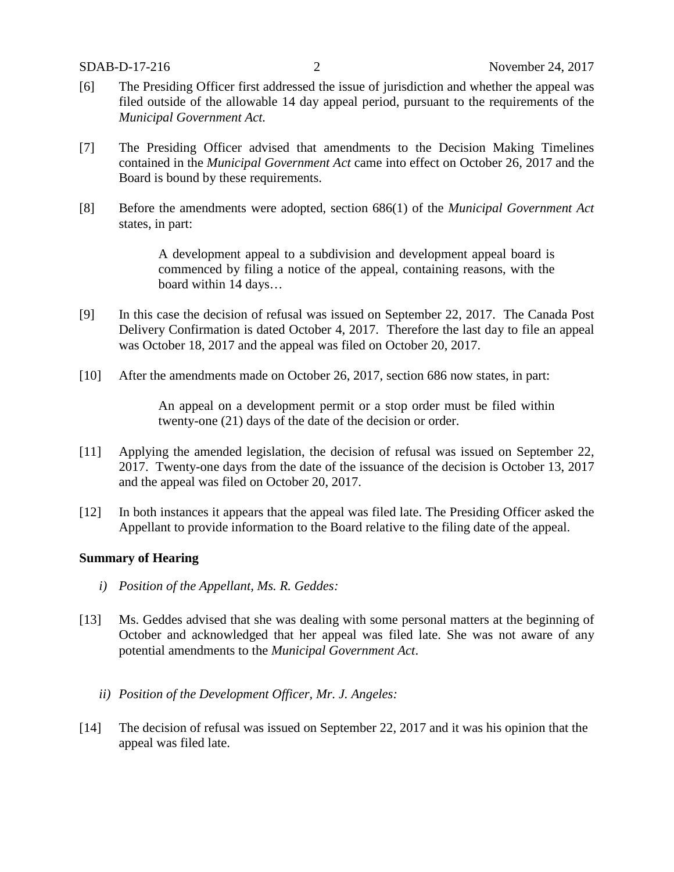- [6] The Presiding Officer first addressed the issue of jurisdiction and whether the appeal was filed outside of the allowable 14 day appeal period, pursuant to the requirements of the *Municipal Government Act.*
- [7] The Presiding Officer advised that amendments to the Decision Making Timelines contained in the *Municipal Government Act* came into effect on October 26, 2017 and the Board is bound by these requirements.
- [8] Before the amendments were adopted, section 686(1) of the *Municipal Government Act* states, in part:

A development appeal to a subdivision and development appeal board is commenced by filing a notice of the appeal, containing reasons, with the board within 14 days…

- [9] In this case the decision of refusal was issued on September 22, 2017. The Canada Post Delivery Confirmation is dated October 4, 2017. Therefore the last day to file an appeal was October 18, 2017 and the appeal was filed on October 20, 2017.
- [10] After the amendments made on October 26, 2017, section 686 now states, in part:

An appeal on a development permit or a stop order must be filed within twenty-one (21) days of the date of the decision or order.

- [11] Applying the amended legislation, the decision of refusal was issued on September 22, 2017. Twenty-one days from the date of the issuance of the decision is October 13, 2017 and the appeal was filed on October 20, 2017.
- [12] In both instances it appears that the appeal was filed late. The Presiding Officer asked the Appellant to provide information to the Board relative to the filing date of the appeal.

#### **Summary of Hearing**

- *i) Position of the Appellant, Ms. R. Geddes:*
- [13] Ms. Geddes advised that she was dealing with some personal matters at the beginning of October and acknowledged that her appeal was filed late. She was not aware of any potential amendments to the *Municipal Government Act*.
	- *ii) Position of the Development Officer, Mr. J. Angeles:*
- [14] The decision of refusal was issued on September 22, 2017 and it was his opinion that the appeal was filed late.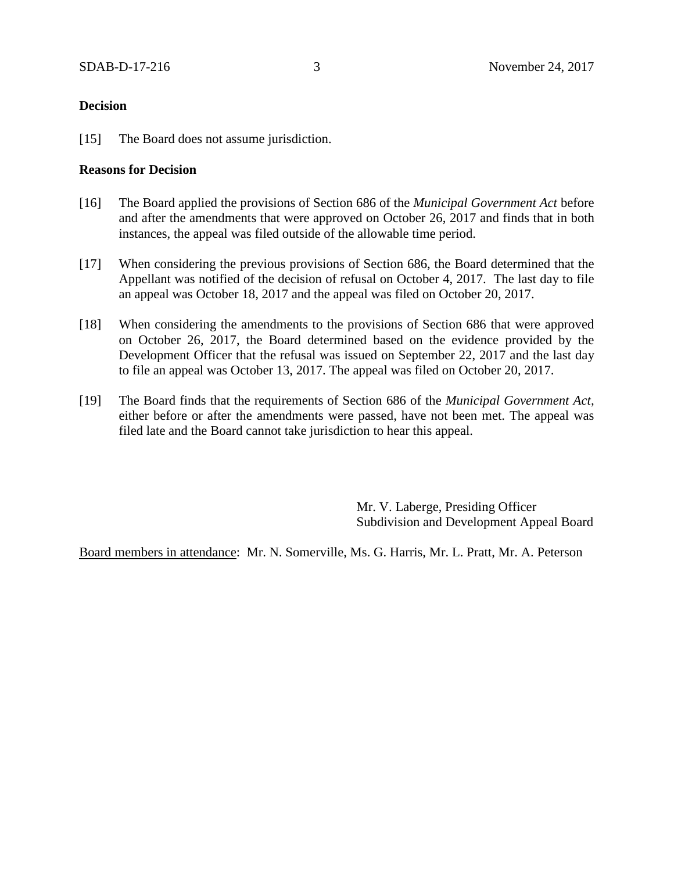### **Decision**

[15] The Board does not assume jurisdiction.

### **Reasons for Decision**

- [16] The Board applied the provisions of Section 686 of the *Municipal Government Act* before and after the amendments that were approved on October 26, 2017 and finds that in both instances, the appeal was filed outside of the allowable time period.
- [17] When considering the previous provisions of Section 686, the Board determined that the Appellant was notified of the decision of refusal on October 4, 2017. The last day to file an appeal was October 18, 2017 and the appeal was filed on October 20, 2017.
- [18] When considering the amendments to the provisions of Section 686 that were approved on October 26, 2017, the Board determined based on the evidence provided by the Development Officer that the refusal was issued on September 22, 2017 and the last day to file an appeal was October 13, 2017. The appeal was filed on October 20, 2017.
- [19] The Board finds that the requirements of Section 686 of the *Municipal Government Act,* either before or after the amendments were passed, have not been met. The appeal was filed late and the Board cannot take jurisdiction to hear this appeal.

Mr. V. Laberge, Presiding Officer Subdivision and Development Appeal Board

Board members in attendance: Mr. N. Somerville, Ms. G. Harris, Mr. L. Pratt, Mr. A. Peterson